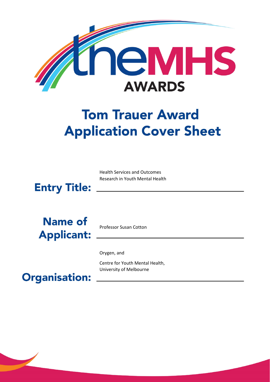

# **Tom Trauer Award Application Cover Sheet**

Health Services and Outcomes Research in Youth Mental Health



**Name of Applicant:** 

Professor Susan Cotton

Orygen, and

Centre for Youth Mental Health, University of Melbourne

**Organisation:**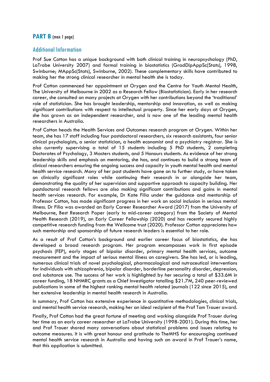## **PART B** (max 1 page)

## Additional Information

Prof Sue Cotton has a unique background with both clinical training in neuropsychology (PhD, LaTrobe University 2007) and formal training in biostatistics (GradDipAppSc(Stats), 1998, Swinburne; MAppSc(Stats), Swinburne, 2002). These complementary skills have contributed to making her the strong clinical researcher in mental health she is today.

Prof Cotton commenced her appointment at Orygen and the Centre for Youth Mental Health, The University of Melbourne in 2002 as a Research Fellow (Biostatistician). Early in her research career, she consulted on many projects at Orygen with her contributions beyond the 'traditional' role of statistician. She has brought leadership, mentorship and innovation, as well as making significant contributions with respect to intellectual property. Since her early days at Orygen, she has grown as an independent researcher, and is now one of the leading mental health researchers in Australia.

Prof Cotton heads the Health Services and Outcomes research program at Orygen. Within her team, she has 17 staff including four postdoctoral researchers, six research assistants, four senior clinical psychologists, a senior statistician, a health economist and a psychiatry registrar. She is also currently supervising a total of 15 students including 5 PhD students, 2 completing Doctorates of Psychology, 3 Masters students, and 5 Honours students. As evidence of her strong leadership skills and emphasis on mentoring, she has, and continues to build a strong team of clinical researchers ensuring the ongoing success and capacity in youth mental health and mental health service research. Many of her past students have gone on to further study, or have taken on clinically significant roles while continuing their research in or alongside her team, demonstrating the quality of her supervision and supportive approach to capacity building. Her postdoctoral research fellows are also making significant contributions and gains in mental health services research. For example, Dr Kate Filia under the guidance and mentorship of Professor Cotton, has made significant progress in her work on social inclusion in serious mental illness. Dr Filia was awarded an Early Career Researcher Award (2017) from the University of Melbourne, Best Research Paper (early to mid-career category) from the Society of Mental Health Research (2019), an Early Career Fellowship (2020) and has recently secured highly competitive research funding from the Wellcome trust (2020). Professor Cotton appreciates how such mentorship and sponsorship of future research leaders is essential to her role.

As a result of Prof Cotton's background and earlier career focus of biostatistics, she has developed a broad research program. Her program encompasses work in first episode psychosis (FEP), early stages of bipolar disorder, primary mental health services, outcome measurement and the impact of serious mental illness on caregivers. She has led, or is leading, numerous clinical trials of novel psychological, pharmacological and nutraceutical interventions for individuals with schizophrenia, bipolar disorder, borderline personality disorder, depression, and substance use. The success of her work is highlighted by her securing a total of \$33.6M in career funding, 18 NHMRC grants as a Chief Investigator totalling \$21.7M, 240 peer-reviewed publications in some of the highest ranking mental health related journals (122 since 2015), and her extensive leadership in mental health research in Australia.

In summary, Prof Cotton has extensive experience in quantitative methodologies, clinical trials, and mental health service research, making her an ideal recipient of the Prof Tom Trauer award.

Finally, Prof Cotton had the great fortune of meeting and working alongside Prof Trauer during her time as an early career researcher at LaTrobe University (1998-2001). During this time, her and Prof Trauer shared many conversations about statistical problems and issues relating to outcome measures. It is with great honour and gratitude to TheMHS for encouraging continued mental health service research in Australia and having such an award in Prof Trauer's name, that this application is submitted.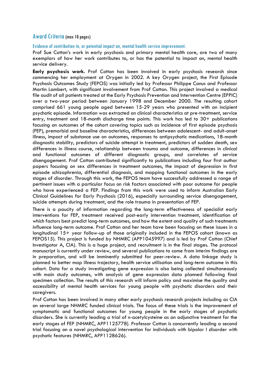## Award Criteria (max 10 pages)

Evidence of contribution to, or potential impact on, mental health service improvement.

Prof Sue Cotton's work in early psychosis and primary mental health care, are two of many exemplars of how her work contributes to, or has the potential to impact on, mental health service delivery.

**Early psychosis work.** Prof Cotton has been involved in early psychosis research since commencing her employment at Orygen in 2002. A key Orygen project, the First Episode Psychosis Outcomes Study (FEPOS) was initially led by Professor Philippe Conus and Professor Martin Lambert, with significant involvement from Prof Cotton. This project involved a medical file audit of all patients treated at the Early Psychosis Prevention and Intervention Centre (EPPIC) over a two-year period between January 1998 and December 2000. The resulting cohort comprised 661 young people aged between 15-29 years who presented with an incipient psychotic episode. Information was extracted on clinical characteristics at pre-treatment, service entry, treatment and 18-month discharge time points. This work has led to 30+ publications focusing on outcomes of the cohort covering topics such as incidence of first episode psychosis (FEP), premorbid and baseline characteristics, differences between adolescent- and adult-onset illness, impact of substance use on outcomes, responses to antipsychotic medications, 18-month diagnostic stability, predictors of suicide attempt in treatment, predictors of sudden death, sex differences in illness course, relationship between trauma and outcome, differences in clinical and functional outcomes of different diagnostic groups, and correlates of service disengagement. Prof Cotton contributed significantly to publications including four first author papers focusing on sex differences in treatment outcomes, the impact of depression in first episode schizophrenia, differential diagnosis, and mapping functional outcomes in the early stages of disorder. Through this work, the FEPOS team have successfully addressed a range of pertinent issues with a particular focus on risk factors associated with poor outcome for people who have experienced a FEP. Findings from this work were used to inform Australian Early Clinical Guidelines for Early Psychosis (2016), especially surrounding service disengagement, suicide attempts during treatment, and the role trauma in presentation of FEP.

There is a paucity of information regarding the long-term effectiveness of specialist early interventions for FEP, treatment received post-early intervention treatment, identification of which factors best predict long-term outcomes, and how the extent and quality of such treatments influence long-term outcome. Prof Cotton and her team have been focusing on these issues in a longitudinal 15+ year follow-up of those originally included in the FEPOS cohort (known as FEPOS15). This project is funded by NHMRC (APP1045997) and is led by Prof Cotton (Chief Investigator A, CIA). This is a huge project, and recruitment is in the final stages. The protocol manuscript is currently under review, and several publications to come from interim findings are in preparation, and will be imminently submitted for peer-review. A data linkage study is planned to better map illness trajectory, health service utilisation and long-term outcome in this cohort. Data for a study investigating gene expression is also being collected simultaneously with main study outcomes, with analysis of gene expression data planned following final specimen collection. The results of this research will inform policy and maximise the quality and accessibility of mental health services for young people with psychotic disorders and their caregivers.

Prof Cotton has been involved in many other early psychosis research projects including as CIA on several large NHMRC funded clinical trials. The focus of these trials is the improvement of symptomatic and functional outcomes for young people in the early stages of psychotic disorders. She is currently leading a trial of n-acetylcysteine as an adjunctive treatment for the early stages of FEP (NHMRC, APP1125778). Professor Cotton is concurrently leading a second trial focusing on a novel psychological intervention for individuals with bipolar I disorder with psychotic features (NHMRC, APP1128626).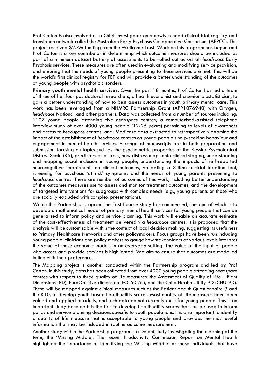Prof Cotton is also involved as a Chief Investigator on a newly funded clinical trial registry and translation network called the Australian Early Psychosis Collaborative Consortium (AEPCC). This project received \$2.7M funding from the Wellcome Trust. Work on this program has begun and Prof Cotton is a key contributor in determining which outcome measures should be included as part of a minimum dataset battery of assessments to be rolled out across all *headspace* Early Psychosis services. These measures are often used in evaluating and modifying service provision, and ensuring that the needs of young people presenting to these services are met. This will be the world's first clinical registry for FEP and will provide a better understanding of the outcomes of young people with psychotic disorders.

**Primary youth mental health services.** Over the past 18 months, Prof Cotton has led a team of three of her four postdoctoral researchers, a health economist and a senior biostatistician, to gain a better understanding of how to best assess outcomes in youth primary mental care. This work has been leveraged from a NHMRC Partnership Grant (APP1076940) with Orygen, *headspace* National and other partners. Data was collected from a number of sources including: 1107 young people attending five *headspace* centres; a computerised-assisted telephone interview study of over 4000 young people (12-25 years) pertaining to levels of awareness and access to *headspace* centres*,* and; Medicare data extracted to retrospectively examine the impact of the establishment of *headspace* centres on young people's help-seeking behaviour and engagement in mental health services. A range of manuscripts are in both preparation and submission focusing on topics such as the psychometric properties of the Kessler Psychological Distress Scale (K6), predictors of distress, how distress maps onto clinical staging, understanding and mapping social inclusion in young people, understanding the impacts of self-reported neurocognitive impairments on clinical outcomes, validating a 3-item suicidal ideation tool, screening for psychosis 'at risk' symptoms, and the needs of young parents presenting to *headspace* centres. There are number of outcomes of this work, including better understanding of the outcomes measures use to assess and monitor treatment outcomes, and the development of targeted interventions for subgroups with complex needs (e.g., young parents or those who are socially excluded with complex presentations).

Within this Partnership program the First Bounce study has commenced, the aim of which is to develop a mathematical model of primary mental health services for young people that can be generalised to inform policy and service planning. This work will enable an accurate estimate of the cost-effectiveness of treatment delivered via *headspace* centres. It is proposed that the analysis will be customisable within the context of local decision making, suggesting its usefulness to Primary Healthcare Networks and other policymakers. Focus groups have been run including young people, clinicians and policy makers to gauge how stakeholders at various levels interpret the value of these economic models in an everyday setting. The value of the input of people who access and provide services is highlighted. We aim to ensure that outcomes are modelled in line with their preferences.

The Mapping project is another conducted within the Partnership program and led by Prof Cotton. In this study, data has been collected from over 4000 young people attending *headspace* centres with respect to three quality of life measures: the Assessment of Quality of Life – Eight Dimensions (8D), EuroQol-five dimension (EQ-5D-5L), and the Child Health Utility 9D (CHU-9D). These will be mapped against clinical measures such as the Patient Health Questionnaire 9 and the K10, to develop youth-based health utility scores. Most quality of life measures have been valued and applied to adults, and such data do not currently exist for young people. This is an important study because it is the first to develop health utility scores that can be used to inform policy and service planning decisions specific to youth populations. It is also important to identify a quality of life measure that is acceptable to young people and provides the most useful information that may be included in routine outcome measurement.

Another study within the Partnership program is a Delphi study investigating the meaning of the term, the 'Missing Middle'. The recent Productivity Commission Report on Mental Health highlighted the importance of identifying the 'Missing Middle' or those individuals that have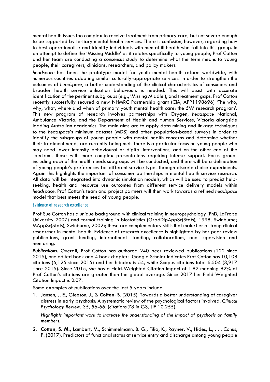mental health issues too complex to receive treatment from primary care, but not severe enough to be supported by tertiary mental health services. There is confusion, however, regarding how to best operationalise and identify individuals with mental-ill health who fall into this group. In an attempt to define the 'Missing Middle' as it relates specifically to young people, Prof Cotton and her team are conducting a consensus study to determine what the term means to young people, their caregivers, clinicians, researchers, and policy makers.

*headspace* has been the prototype model for youth mental health reform worldwide, with numerous countries adopting similar culturally-appropriate services. In order to strengthen the outcomes of *headspace,* a better understanding of the clinical characteristics of consumers and broader health service utilisation behaviours is needed. This will assist with accurate identification of the pertinent subgroups (e.g., 'Missing Middle'), and treatment gaps. Prof Cotton recently successfully secured a new NHMRC Partnership grant (CIA, APP1198696) 'The who, why, what, where and when of primary youth mental health care: the 5W research program'. This new program of research involves partnerships with Orygen, *headspace* National, Ambulance Victoria, and the Department of Health and Human Services, Victoria alongside leading Australian academics. The main aims are to apply data mining and linkage techniques to the *headspace*'s minimum dataset (MDS) and other population-based surveys in order to identify the subgroups of young people with mental health concerns and determine whether their treatment needs are currently being met. There is a particular focus on young people who may need lower intensity behavioural or digital interventions, and on the other end of the spectrum, those with more complex presentations requiring intense support. Focus groups including each of the health needs subgroups will be conducted, and there will be a delineation of young people's preferences for different service types through discrete choice experiments. Again this highlights the important of consumer partnerships in mental health service research. All data will be integrated into dynamic simulation models, which will be used to predict helpseeking, health and resource use outcomes from different service delivery models within *headspace*. Prof Cotton's team and project partners will then work towards a refined *headspace* model that best meets the need of young people.

## Evidence of research excellence

Prof Sue Cotton has a unique background with clinical training in neuropsychology (PhD, LaTrobe University 2007) and formal training in biostatistics (GradDipAppSc(Stats), 1998, Swinburne; MAppSc(Stats), Swinburne, 2002); these are complementary skills that make her a strong clinical researcher in mental health. Evidence of research excellence is highlighted by her peer review publications, grant funding, international standing, collaborations, and supervision and mentoring.

*Publications***.** Overall, Prof Cotton has authored 240 peer reviewed publications (122 since 2015), one edited book and 4 book chapters. Google Scholar indicates Prof Cotton has 10,108 citations (6,125 since 2015) and her h-index is 54, while Scopus citations total 6,504 (3,917 since 2015). Since 2015, she has a Field-Weighted Citation Impact of 1.82 meaning 82% of Prof Cotton's citations are greater than the global average. Since 2017 her Field-Weighted Citation Impact is 2.07.

Some examples of publications over the last 5 years include:

1. Jansen, J. E., Gleeson, J., & **Cotton, S**. (2015). Towards a better understanding of caregiver distress in early psychosis: A systematic review of the psychological factors involved. *Clinical Psychology Review. 35*, 56-66. (citations 78 in GS, JIF 10.255).

*Highlights important work to increase the understanding of the impact of psychosis on family members.* 

2. **Cotton, S. M.,** Lambert, M., Schimmelmann, B. G., Filia, K., Rayner, V., Hides, L., . . . Conus, P. (2017). Predictors of functional status at service entry and discharge among young people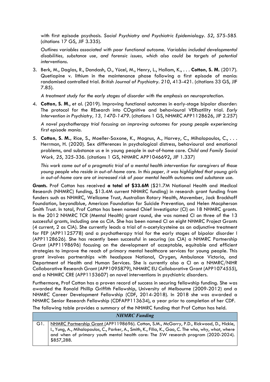with first episode psychosis. *Social Psychiatry and Psychiatric Epidemiology. 52*, 575-585. (citations 17 GS, JIF 3.335).

*Outlines variables associated with poor functional outcome. Variables included developmental disabilities, substance use, and forensic issues, which also could be targets of potential interventions.* 

3. Berk, M., Daglas, R., Dandash, O., Yücel, M., Henry, L., Hallam, K., . . . **Cotton, S. M.** (2017). Quetiapine v. lithium in the maintenance phase following a first episode of mania: randomised controlled trial. *British Journal of Psychiatry. 210*, 413-421. (citations 33 GS, JIF 7.85).

*A treatment study for the early stages of disorder with the emphasis on neuroprotection.* 

4. **Cotton, S. M**., et al. (2019). Improving functional outcomes in early-stage bipolar disorder: The protocol for the REsearch into COgnitive and behavioural VERsatility trial. *Early Intervention in Psychiatry, 13, 1470-1479.* (citations 1 GS, NHMRC APP1128626, JIF 2.257)

*A novel psychotherapy trial focusing on improving outcomes for young people experiencing first episode mania.* 

5. **Cotton, S. M.,** Rice, S., Moeller-Saxone, K., Magnus, A., Harvey, C., Mihalopoulos, C., . . . Herrman, H. (2020). Sex differences in psychological distress, behavioural and emotional problems, and substance us e in young people in out-of-home care. *Child and Family Social Work, 25*, 325-336. (citations 1 GS, NHMRC APP1046692, JIF 1.337)

*This work came out of a pragmatic trial of a mental health intervention for caregivers of those young people who reside in out-of-home care. In this paper, it was highlighted that young girls in out-of-home care are at increased risk of poor mental health outcomes and substance use.* 

*Grants.* Prof Cotton has received **a total of \$33.6M** (\$21.7M National Health and Medical Research (NHMRC) funding, \$13.4M current NHMRC funding) in research grant funding from funders such as NHMRC, Wellcome Trust, Australian Rotary Health, Movember, Jack Brockhoff Foundation, beyondblue, American Foundation for Suicide Prevention, and Helen Macpherson Smith Trust. In total, Prof Cotton has been named Chief Investigator (CI) on 18 NHMRC grants. In the 2012 NHMRC TCR (Mental Health) grant round, she was named CI on three of the 13 successful grants, including one as CIA. She has been named CI on eight NHMRC Project Grants (4 current, 2 as CIA). She currently leads a trial of n-acetylcysteine as an adjunctive treatment for FEP (APP1125778) and a psychotherapy trial for the early stages of bipolar disorder I (APP1128626). She has recently been successful in securing (as CIA) a NHMRC Partnership Grant (APP1198696) focusing on the development of acceptable, equitable and efficient strategies to improve the reach of primary mental healthcare services for young people. This grant involves partnerships with *headspace* National, Orygen, Ambulance Victoria, and Department of Health and Human Services. She is currently also a CI on a NHMRC/NIHR Collaborative Research Grant (APP1095879), NHMRC EU Collaborative Grant (APP1074555), and a NHMRC CRE (APP1153607) on novel interventions in psychiatric disorders.

Furthermore, Prof Cotton has a proven record of success in securing fellowship funding. She was awarded the Ronald Phillip Griffith Fellowship, University of Melbourne (2009-2012) and a NHMRC Career Development Fellowship (CDF, 2014-2018). In 2018 she was awarded a NHMRC Senior Research Fellowship (CDFAPP113634), a year prior to completion of her CDF.

The following table provides a summary of the NHMRC funding that Prof Cotton has held.

| <b>NHMRC</b> Funding |                                                                                                                                                                                                         |
|----------------------|---------------------------------------------------------------------------------------------------------------------------------------------------------------------------------------------------------|
|                      | NHMRC Partnership Grant (APP1198696). Cotton, S.M., McGorry, P.D., Rickwood, D., Hickie,                                                                                                                |
|                      | I., Yung, A., Mihalopoulos, C., Parker, A., Smith, K., Filia, K., Gao, C. The who, why, what, where<br>and when of primary youth mental health care: The 5W research program (2020-2024).<br>\$857,288. |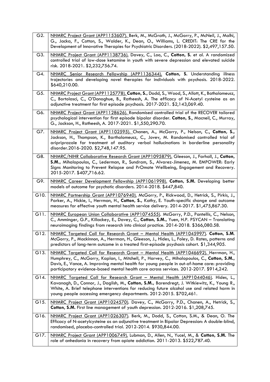| G2.  | NHMRC Project Grant (APP1153607). Berk, M., McGrath, J., McGorry, P., McNeil, J., Malhi,<br>G., Jacka, F., Cotton, S., Walder, K., Dean, O., Williams, L. CREDIT: The CRE for the<br>Development of Innovative Therapies for Psychiatric Disorders. (2018-2022). \$2,497,157.50.                                                                                            |
|------|-----------------------------------------------------------------------------------------------------------------------------------------------------------------------------------------------------------------------------------------------------------------------------------------------------------------------------------------------------------------------------|
| G3.  | NHMRC Project Grant (APP1138736). Davey, C., Loo, C., Cotton, S. et al. A randomized<br>controlled trial of low-dose ketamine in youth with severe depression and elevated suicide<br>risk. 2018-2021. \$2,232,756.74.                                                                                                                                                      |
| G4.  | NHMRC Senior Research Fellowship (APP1136344). Cotton, S. Understanding illness<br>trajectories and developing novel therapies for individuals with psychosis. 2018-2022.<br>\$640,210.00.                                                                                                                                                                                  |
| G5.  | NHMRC Project Grant (APP1125778). Cotton, S., Dodd, S., Wood, S., Allott, K., Batholomeusz,<br>C., Bortolasci, C., O'Donoghue, B., Ratheesh, A. The efficacy of N-Acetyl cysteine as an<br>adjunctive treatment for first episode psychosis. 2017-2021. \$2,143,069.40.                                                                                                     |
| G6.  | NHMRC Project Grant (APP1128626). Randomised controlled trial of the RECOVER tailored<br>psychological intervention for first episode bipolar disorder. Cotton, S., Macneil, C., Murray,<br>G., Jackson, H., Ratheesh, A. 2017-2021. \$1,550,290.70.                                                                                                                        |
| G7.  | NHMRC Project Grant (APP1102595). Chanen, A., McGorry, P., Nelson, C., Cotton, S.,<br>Jackson, H., Thompson, K., Bartholomeusz, C., Jovev, M. Randomised controlled trial of<br>aripriprazole for treatment of auditory verbal hallucinations in borderline personality<br>disorder.2016-2020. \$2,748,147.95.                                                              |
| G8.  | NHMRC/NIHR Collaborative Research Grant (APP1095879). Gleeson, J., Farhall, J., Cotton,<br>S.M., Mihalopoulos, C., Lederman, R., Sundram, S., Alvarez-Jimenez, M. EMPOWER: Early<br>Signs Monitoring to Prevent Relapse and PrOmote Wellbeing, Engagement and Recovery.<br>2015-2017. \$407,716.62.                                                                         |
| G9.  | NHMRC Career Development Fellowship (APP1061998). Cotton, S.M. Developing better<br>models of outcome for psychotic disorders. 2014-2018. \$447,840.                                                                                                                                                                                                                        |
| G10. | NHMRC Partnership Grant (APP1076940). McGorry, P., Rickwood, D., Hetrick, S., Pirkis, J.,<br>Parker, A., Hickie, I., Herrman, H., Cotton, S., Kathy, E. Youth-specific change and outcome<br>measures for effective youth mental health service delivery. 2014-2017. \$1,475,867.30.                                                                                        |
| G11. | NHMRC European Union Collaborative (APP1074555). McGorry, P.D., Pantellis, C., Nelson,<br>C., Amminger, G.P., Killackey, E., Davey, C., Cotton, S.M., Yuen, H.P. PSYCAN - Translating<br>neuroimaging findings from research into clinical practice. 2014-2018. \$366,080.58.                                                                                               |
| G12. | NHMRC Targeted Call for Research Grant - Mental Health (APP1045997). Cotton, S.M.<br>McGorry, P., Mackinnon, A., Herrman, H., Gleeson, J., Hides, L., Foley, D. Rates, patterns and<br>predictors of long-term outcome in a treated first-episode psychosis cohort. \$1,344,905.                                                                                            |
| G13. | NHMRC Targeted Call for Research Grant - Mental Health (APP1046692). Herrman, H.,<br>Humphrey, C., McGorry, Kaplan, I., Mitchell, P., Harvey, C., Mihalopoulos, C., Cotton, S.M.,<br>Davis, E., Vance, A. Improving mental health for young people in out-of-home care: providing<br>participatory evidence-based mental health care across services. 2012-2017. \$914,242. |
| G14. | <u>NHMRC Targeted Call for Research Grant – Mental Health (APP1044046)</u> . Hides, L.,<br>Kavanagh, D., Connor, J., Daglish, M., Cotton, S.M., Barendregt, J. Witkiewitz, K., Young R.,<br>White, A. Brief telephone interventions for reducing future alcohol use and related harm in<br>young people accessing emergency departments. 2012-2015. \$702,461.              |
| G15. | NHMRC Project Grant (APP1024570). Davey, C., McGorry, P.D., Chanen, A., Hetrick, S.,<br>Cotton, S.M. First line management of youth depression. 2012-2016. \$1,208,745.                                                                                                                                                                                                     |
| G16. | NHMRC Project Grant (APP1026307). Berk, M., Dodd, S., Cotton, S.M., & Dean, O. The<br>Efficacy of N-acetylcysteine as an adjunctive treatment in Bipolar Depression: A double-blind,<br>randomised, placebo-controlled trial. 2012-2014. \$930,844.00.                                                                                                                      |
| G17. | NHMRC Project Grant (APP1006749). Lubman, D., Allen, N., Yucel, M., & Cotton, S.M. The<br>role of anhedonia in recovery from opiate addiction. 2011-2013. \$522,787.40.                                                                                                                                                                                                     |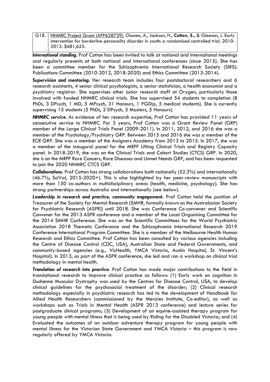G18. NHMRC Project Grant (APP628739). Chanen, A., Jackson, H., **Cotton, S.,** & Gleeson, J. Early intervention for borderline personality disorder in youth: a randomised controlled trial. 2010- 2013. \$681,625.

*International standing.* Prof Cotton has been invited to talk at national and international meetings and regularly presents at both national and international conferences (since 2015). She has been a committee member for the Schizophrenia International Research Society (SIRS): Publications Committee (2010-2012, 2018-2020) and Ethics Committee (2013-2014).

*Supervision and mentoring.* Her research team includes four postdoctoral researchers and 6 research assistants, 4 senior clinical psychologists, a senior statistician, a health economist and a psychiatry registrar. She supervises other junior research staff at Orygen, particularly those involved with funded NHMRC clinical trials. She has supervised 54 students to completion (8 PhDs, 3 DPsych, 1 MD, 5 MPsych, 31 Honours, 1 PGDip, 5 medical students). She is currently supervising 15 students (5 PhDs, 2 DPsych, 3 Masters, 5 Honours).

*NHMRC service.* As evidence of her research expertise, Prof Cotton has provided 11 years of consecutive service to NHMRC. For 3 years, Prof Cotton was a Grant Review Panel (GRP) member of the Large Clinical Trials Panel (2009-2011). In 2011, 2012, and 2016 she was a member of the Psychology/Psychiatry GRP. Between 2015 and 2016 she was a member of the ECR GRP. She was a member of the Assigners Academy from 2013 to 2015. In 2017, she was a member of the inaugural panel for the MRFF Lifting Clinical Trials and Registry Capacity panel. In 2018-2019, she was on the Clinical Trials and Cohort Studies (CTCS) GRP. In 2020, she is on the MRFF Rare Cancers, Rare Diseases and Unmet Needs GRP, and has been requested to join the 2020 NHMRC CTCS GRP.

*Collaborations.* Prof Cotton has strong collaborations both nationally (52.3%) and internationally (46.7%; SciVal, 2015-2020+). This is also highlighted by her peer-review manuscripts with more than 150 co-authors in multidisciplinary areas (health, medicine, psychology). She has strong partnerships across Australia and internationally (see below).

*Leadership in research and practice, community engagement***.** Prof Cotton held the position of Treasurer of the Society for Mental Research (SMHR, formally known as the Australasian Society for Psychiatric Research [ASPR]) until 2018. She was Conference Co-convener and Scientific Convener for the 2013 ASPR conference and a member of the Local Organising Committee for the 2014 SMHR Conference. She was on the Scientific Committees for the World Psychiatric Association 2018 Thematic Conference and the Schizophrenia International Research 2019 Conference International Program Committee. She is a member of the Melbourne Health Human Research and Ethics Committee. Prof Cotton has been consulted by various agencies including the Centre of Disease Control (CDC, USA), Australian State and Federal Governments, and community-based agencies (e.g., VicHealth, YMCA Victoria, Austin Hospital, St. Vincent's Hospital). In 2013, as part of the ASPR conference, she led and ran a workshop on clinical trial methodology in mental health.

*Translation of research into practice.* Prof Cotton has made major contributions to the field in translational research to improve clinical practice as follows: (1) Early work on cognition in Duchenne Muscular Dystrophy was used by the Centres for Disease Control, USA, to develop clinical guidelines for the psychosocial treatment of the disorder; (2) Clinical research methodology especially in psychiatric research has led to the development of Handbook for Allied Health Researchers (commissioned by the Menzies Institute, Co-editor), as well as workshops such as Trials in Mental Health (ASPR 2013 conference) and lecture series for postgraduate clinical programs; (3) Development of an equine-assisted therapy program for young people with mental illness that is being used by Riding for the Disabled Victoria; and (4) Evaluated the outcomes of an outdoor adventure therapy program for young people with mental illness for the Victorian State Government and YMCA Victoria – this program is now regularly offered by YMCA Victoria.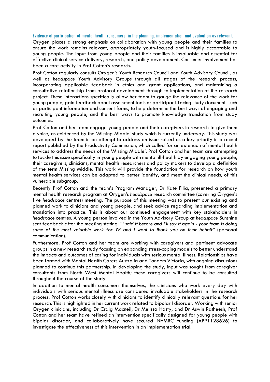#### Evidence of participation of mental health consumers, in the planning, implementation and evaluation as relevant.

Orygen places a strong emphasis on collaboration with young people and their families to ensure the work remains relevant, appropriately youth-focused and is highly acceptable to young people. The input from young people and their families is invaluable and essential for effective clinical service delivery, research, and policy development. Consumer involvement has been a core activity in Prof Cotton's research.

Prof Cotton regularly consults Orygen's Youth Research Council and Youth Advisory Council, as well as *headspace* Youth Advisory Groups through all stages of the research process, incorporating applicable feedback in ethics and grant applications, and maintaining a consultative relationship from protocol development through to implementation of the research project. These interactions specifically allow her team to gauge the relevance of the work for young people, gain feedback about assessment tools or participant-facing study documents such as participant information and consent forms, to help determine the best ways of engaging and recruiting young people, and the best ways to promote knowledge translation from study outcomes.

Prof Cotton and her team engage young people and their caregivers in research to give them a voice, as evidenced by the 'Missing Middle' study which is currently underway. This study was developed by the team in an attempt to address an issue raised as a key priority in a recent report published by the Productivity Commission, which called for an extension of mental health services to address the needs of the 'Missing Middle'. Prof Cotton and her team are attempting to tackle this issue specifically in young people with mental ill-health by engaging young people, their caregivers, clinicians, mental health researchers and policy makers to develop a definition of the term Missing Middle. This work will provide the foundation for research on how youth mental health services can be adapted to better identify, and meet the clinical needs, of this vulnerable subgroup.

Recently Prof Cotton and the team's Program Manager, Dr Kate Filia, presented a primary mental health research program at Orygen's *headspace* research committee (covering Orygen's five *headspace* centres) meeting. The purpose of this meeting was to present our existing and planned work to clinicians and young people, and seek advice regarding implementation and translation into practice. This is about our continued engagement with key stakeholders in *headspace* centres. A young person involved in the Youth Advisory Group at *headspace* Sunshine sent feedback after the meeting stating: *"I said it before and I'll say it again - your team is doing some of the most valuable work for YP and I want to thank you on their behalf"* (personal communication)*.*

Furthermore, Prof Cotton and her team are working with caregivers and pertinent advocate groups in a new research study focusing on expanding stress-coping models to better understand the impacts and outcomes of caring for individuals with serious mental illness. Relationships have been formed with Mental Health Carers Australia and Tandem Victoria, with ongoing discussions planned to continue this partnership. In developing the study, input was sought from caregiver consultants from North West Mental Health; these caregivers will continue to be consulted throughout the course of the study.

In addition to mental health consumers themselves, the clinicians who work every day with individuals with serious mental illness are considered invaluable stakeholders in the research process. Prof Cotton works closely with clinicians to identify clinically relevant questions for her research. This is highlighted in her current work related to bipolar I disorder. Working with senior Orygen clinicians, including Dr Craig Macneil, Dr Melissa Hasty, and Dr Aswin Ratheesh, Prof Cotton and her team have refined an intervention specifically designed for young people with bipolar disorder, and collaboratively have secured NHMRC funding (APP1128626) to investigate the effectiveness of this intervention in an implementation trial.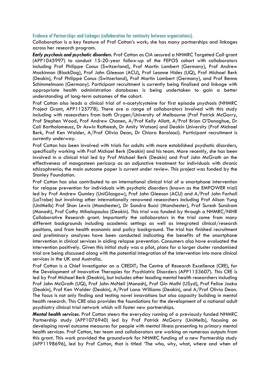#### Evidence of Partnerships and Linkages (collaboration for continuity between organisations).

Collaboration is a key feature of Prof Cotton's work; she has many partnerships and linkages across her research program.

*Early psychosis and psychotic disorders.* Prof Cotton as CIA secured a NHMRC Targeted Call grant (APP1045997) to conduct 15-20-year follow-up of the FEPOS cohort with collaborators including Prof Philippe Conus (Switzerland), Prof Martin Lambert (Germany), Prof Andrew Mackinnon (BlackDog), Prof John Gleeson (ACU), Prof Leanne Hides (UQ), Prof Michael Berk (Deakin), Prof Philippe Conus (Switzerland), Prof Martin Lambert (Germany), and Prof Benno Schimmelmann (Germany). Participant recruitment is currently being finalised and linkage with appropriate health administration databases is being undertaken to gain a better understanding of long-term outcomes of the cohort.

Prof Cotton also leads a clinical trial of n-acetylcysteine for first episode psychosis (NHMRC Project Grant, APP1125778). There are a range of collaborators involved with this study including with researchers from both Orygen/University of Melbourne (Prof Patrick McGorry, Prof Stephen Wood, Prof Andrew Chanen, A/Prof Kelly Allott, A/Prof Brian O'Donoghue, Dr Cali Bartholomeusz, Dr Aswin Ratheesh, Dr Amity Watson) and Deakin University (Prof Michael Berk, Prof Ken Walder, A/Prof Olivia Dean, Dr Chiara Borolasci). Participant recruitment is currently underway.

Prof Cotton has been involved with trials for adults with more established psychotic disorders, specifically working with Prof Michael Berk (Deakin) and his team. More recently, she has been involved in a clinical trial led by Prof Michael Berk (Deakin) and Prof John McGrath on the effectiveness of mangosteen pericarp as an adjunctive treatment for individuals with chronic schizophrenia; the main outcome paper is current under review. This project was funded by the Stanley Foundation.

Prof Cotton has also contributed to an international clinical trial of a smartphone intervention for relapse prevention for individuals with psychotic disorders (known as the EMPOWER trial) led by Prof Andrew Gumley (UniGlasgow), Prof John Gleeson (ACU) and A/Prof John Farhall (LaTrobe) but involving other internationally renowned researchers including Prof Alison Yung (UniMelb) Prof Shon Lewis (Manchester), Dr Sandra Bucci (Manchester), Prof Suresh Sundram (Monash), Prof Cathy Mihalapoulos (Deakin). This trial was funded by through a NHMRC/NIHR Collaborative Research grant. Importantly the collaborators in the trial come from many different backgrounds including academic settings as well as integrated clinical/research positions, and from health economic and policy background. The trial has finished recruitment and preliminary analyses have been conducted indicating the benefits of the smartphone intervention in clinical services in aiding relapse prevention. Consumers also have evaluated the intervention positively. Given this initial study was a pilot, plans for a larger cluster randomised trial are being discussed along with the potential integration of the intervention into more clinical services in the UK and Australia.

Prof Cotton is a Chief Investigator on a CREDIT; The Centre of Research Excellence (CRE), for the Development of Innovative Therapies for Psychiatric Disorders (APP1153607). This CRE is led by Prof Michael Berk (Deakin), but includes other leading mental health researchers including Prof John McGrath (UQ), Prof John McNeil (Monash), Prof Gin Malhi (USyd), Prof Felice Jacka (Deakin), Prof Ken Walder (Deakin), A/Prof Lana Williams (Deakin), and A/Prof Olivia Dean. The focus is not only finding and testing novel innovations but also capacity building in mental health research. This CRE also provides the foundations for the development of a national adult psychiatry clinical trial network which will foster new partnerships.

*Mental health services.* Prof Cotton steers the everyday running of a previously funded NHMRC Partnership study (APP1076940) led by Prof Patrick McGorry (UniMelb), focusing on developing novel outcome measures for people with mental illness presenting to primary mental health services. Prof Cotton, her team and collaborators are working on numerous outputs from this grant. This work provided the groundwork for NHMRC funding of a new Partnership study (APP1198696), led by Prof Cotton, that is titled 'The who, why, what, where and when of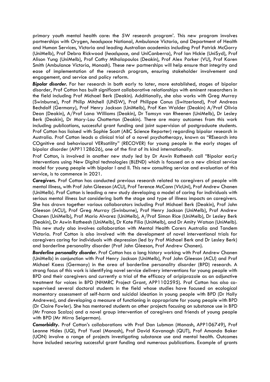primary youth mental health care: the 5W research program'. This new program involves partnerships with Orygen, *headspace* National, Ambulance Victoria, and Department of Health and Human Services, Victoria and leading Australian academics including Prof Patrick McGorry (UniMelb), Prof Debra Rickwood (*headspace*, and UniCanberra), Prof Ian Hickie (UniSyd), Prof Alison Yung (UniMelb), Prof Cathy Mihalapoulos (Deakin), Prof Alex Parker (VU), Prof Karen Smith (Ambulance Victoria, Monash). These new partnerships will help ensure that integrity and ease of implementation of the research program, ensuring stakeholder involvement and engagement, and service and policy reform.

*Bipolar disorder.* For her research in both early to later, more established, stages of bipolar disorder, Prof Cotton has built significant collaborative relationships with eminent researchers in the field including Prof Michael Berk (Deakin). Additionally, she also works with Greg Murray (Swinburne), Prof Philip Mitchell (UNSW), Prof Philippe Conus (Switzerland), Prof Andreas Bechdolf (Germany), Prof Henry Jackson (UniMelb), Prof Ken Walder (Deakin) A/Prof Olivia Dean (Deakin), A/Prof Lana Williams (Deakin), Dr Tamsyn van Rheenen (UniMelb), Dr Lesley Berk (Deakin), Dr Mary-Lou Chatterton (Deakin). There are many outcomes from this work including publications, successful grant funding and joint supervision of postgraduate students. Prof Cotton has liaised with Sophie Scott (ABC Science Reporter) regarding bipolar research in Australia. Prof Cotton leads a clinical trial of a novel psychotherapy, known as "REsearch into COgnitive and behavioural VERsatility" (RECOVER) for young people in the early stages of bipolar disorder (APP1128626), one of the first of its kind internationally.

Prof Cotton, is involved in another new study led by Dr Aswin Ratheesh call "Bipolar earLy interventions using New Digital technologies (BLEND) which is focused on a new clinical service model for young people with bipolar I and II. This new consulting service and evaluation of this service, is to commence in 2021.

*Caregivers.* Prof Cotton has conducted previous research related to caregivers of people with mental illness, with Prof John Gleeson (ACU), Prof Terence McCann (VicUni), Prof Andrew Chanen (UniMelb). Prof Cotton is leading a new study developing a model of caring for individuals with serious mental illness but considering both the stage and type of illness impacts on caregivers. She has drawn together various collaborators including Prof Michael Berk (Deakin), Prof John Gleeson (ACU), Prof Greg Murray (Swinburne), Prof Henry Jackson (UniMelb), Prof Andrew Chanen (UniMelb), Prof Mario Alvarez (UniMelb), A/Prof Simon Rice (UniMelb), Dr Lesley Berk (Deakin), Dr Aswin Ratheesh (UniMelb), Dr Kate Filia (UniMelb), and Dr Amity Watson (UniMelb). This new study also involves collaboration with Mental Health Carers Australia and Tandem Victoria. Prof Cotton is also involved with the development of novel interventional trials for caregivers caring for individuals with depression (led by Prof Michael Berk and Dr Lesley Berk) and borderline personality disorder (Prof John Gleeson, Prof Andrew Chanen).

*Borderline personality disorder.* Prof Cotton has a long history working with Prof Andrew Chanen (UniMelb) in conjunction with Prof Henry Jackson (UniMelb), Prof John Gleeson (ACU) and Prof Michael Kaess (Germany) in the area of borderline personality disorder (BPD) research. A strong focus of this work is identifying novel service delivery interventions for young people with BPD and their caregivers and currently a trial of the efficacy of aripiprazole as an adjunctive treatment for voices in BPD (NHMRC Project Grant, APP1102595). Prof Cotton has also cosupervised several doctoral students in the field whose studies have focused on ecological momentary assessment of self-harm and suicidal ideation in young people with BPD (Dr Holly Andrewes), and developing a measure of functioning in appropriate for young people with BPD (Dr Claire Fowler). She has mentored students on other projects focusing on substance use in BPD (Mr Franco Scalzo) and a novel group intervention of caregivers and friends of young people with BPD (Mr Mirra Seigerman).

*Comorbidity***.** Prof Cotton's collaborations with Prof Dan Lubman (Monash, APP106749), Prof Leanne Hides (UQ), Prof Yucel (Monash), Prof David Kavanagh (QUT), Prof Amanda Baker (UON) involve a range of projects investigating substance use and mental health. Outcomes have included securing successful grant funding and numerous publications. Example of grants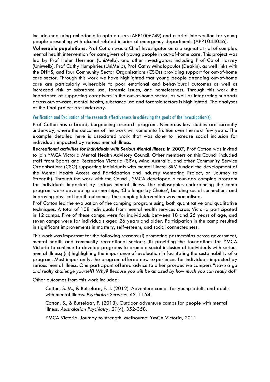include measuring anhedonia in opiate users (APP1006749) and a brief intervention for young people presenting with alcohol related injuries at emergency departments (APP1044046).

**Vulnerable populations.** Prof Cotton was a Chief Investigator on a pragmatic trial of complex mental health intervention for caregivers of young people in out-of-home care. This project was led by Prof Helen Herrman (UniMelb), and other investigators including Prof Carol Harvey (UniMelb), Prof Cathy Humphries (UniMelb), Prof Cathy Mihalopoulos (Deakin), as well links with the DHHS, and four Community Sector Organisations (CSOs) providing support for out-of-home care sector. Through this work we have highlighted that young people attending out-of-home care are particularly vulnerable to poor emotional and behavioural outcomes as well at increased risk of substance use, forensic issues, and homelessness. Through this work the importance of supporting caregivers in the out-of-home sector, as well as integrating supports across out-of-care, mental health, substance use and forensic sectors is highlighted. The analyses of the final project are underway.

Verification and Evaluation of the research effectiveness in achieving the goals of the investigation(s).

Prof Cotton has a broad, burgeoning research program. Numerous key studies are currently underway, where the outcomes of the work will come into fruition over the next few years. The example detailed here is associated work that was done to increase social inclusion for individuals impacted by serious mental illness.

*Recreational activities for individuals with Serious Mental Illness:* In 2007, Prof Cotton was invited to join YMCA Victoria Mental Health Advisory Council. Other members on this Council included staff from Sports and Recreation Victoria (SRV), Mind Australia, and other Community Service Organisations (CSO) supporting individuals with mental illness. SRV funded the development of the Mental Health Access and Participation and Industry Mentoring Project, or 'Journey to Strength). Through the work with the Council, YMCA developed a four-day camping program for individuals impacted by serious mental illness. The philosophies underpinning the camp program were developing partnerships, 'Challenge by Choice', building social connections and improving physical health outcomes. The camping intervention was manualised.

Prof Cotton led the evaluation of the camping program using both quantitative and qualitative techniques. A total of 108 individuals from mental health services across Victoria participated in 12 camps. Five of these camps were for individuals between 18 and 25 years of age, and seven camps were for individuals aged 26 years and older. Participation in the camp resulted in significant improvements in mastery, self-esteem, and social connectedness.

This work was important for the following reasons: (i) promoting partnerships across government, mental health and community recreational sectors; (ii) providing the foundations for YMCA Victoria to continue to develop programs to promote social inclusion of individuals with serious mental illness; (iii) highlighting the importance of evaluation in facilitating the sustainability of a program. Most importantly, the program offered new experiences for individuals impacted by serious mental illness. One participant offered advice to other prospective campers "*Have a go and really challenge yourself! Why? Because you will be amazed by how much you can really do!"*

Other outcomes from this work included:

Cotton, S. M., & Butselaar, F. J. (2012). Adventure camps for young adults and adults with mental illness. *Psychiatric Services, 63*, 1154.

Cotton, S., & Butselaar, F. (2013). Outdoor adventure camps for people with mental illness. *Australasian Psychiatry, 21*(4), 352-358.

YMCA Victoria. Journey to strength. Melbourne: YMCA Victoria, 2011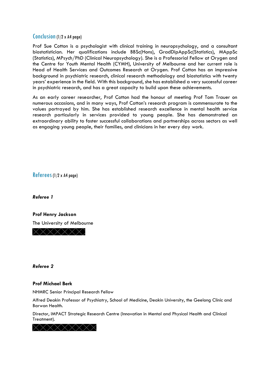## Conclusion(1/2 x A4 page)

Prof Sue Cotton is a psychologist with clinical training in neuropsychology, and a consultant biostatistician. Her qualifications include BBSc(Hons), GradDipAppSc(Statistics), MAppSc (Statistics), MPsych/PhD (Clinical Neuropsychology). She is a Professorial Fellow at Orygen and the Centre for Youth Mental Health (CYMH), University of Melbourne and her current role is Head of Health Services and Outcomes Research at Orygen. Prof Cotton has an impressive background in psychiatric research, clinical research methodology and biostatistics with twenty years' experience in the field. With this background, she has established a very successful career in psychiatric research, and has a great capacity to build upon these achievements.

As an early career researcher, Prof Cotton had the honour of meeting Prof Tom Trauer on numerous occasions, and in many ways, Prof Cotton's research program is commensurate to the values portrayed by him. She has established research excellence in mental health service research particularly in services provided to young people. She has demonstrated an extraordinary ability to foster successful collaborations and partnerships across sectors as well as engaging young people, their families, and clinicians in her every day work.

Referees(1/2 x A4 page)

*Referee 1*

**Prof Henry Jackson** The University of Melbourne XXXXXX

*Referee 2*

## **Prof Michael Berk**

NHMRC Senior Principal Research Fellow

Alfred Deakin Professor of Psychiatry, School of Medicine, Deakin University, the Geelong Clinic and Barwon Health.

Director, IMPACT Strategic Research Centre (Innovation in Mental and Physical Health and Clinical Treatment).

<××××××××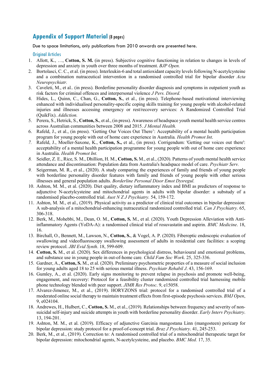## **Appendix of Support Material** (8 pages)

Due to space limitations, only publications from 2010 onwards are presented here.

## Original Articles

- 1. Allott, K., …, **Cotton, S. M.** (in press). Subjective cognitive functioning in relation to changes in levels of depression and anxiety in youth over three months of treatment. *BJP Open.*
- 2. Bortolasci, C. C., et al. (in press). Interleukin-6 and total antioxidant capacity levels following N-acetylcysteine and a combination nutraceutical intervention in a randomised controlled trial for bipolar disorder *Acta Neuropsychiatr.*
- 3. Caveleti, M., et al.. (in press). Borderline personality disorder diagnosis and symptoms in outpatient youth as risk factors for criminal offences and interpersonal violence *J Pers. Disord.*
- 4. Hides, L., Quinn, C., Chan, G., **Cotton, S.**, et al., (in press). Telephone-based motivational interviewing enhanced with individualised personality-specific coping skills training for young people with alcohol-related injuries and illnesses accessing emergency or rest/recovery services: A Randomized Controlled Trial (QuikFix). *Addiction.*
- 5. Perera, S., Hetrick, S., **Cotton, S.**, et al., (in press). Awareness of headspace youth mental health service centres across Australian communities between 2008 and 2015. *J Mental Health.*
- 6. Rafeld, J., et al., (in press). 'Getting Our Voices Out There': Acceptability of a mental health participation program for young people with out of home care experience in Australia*. Health Promot Int*.
- *7.* Rafeld, J., Moeller-Saxone, K., **Cotton, S.,** et al., (in press). Corrigendum: 'Getting our voices out there': acceptability of a mental health participation programme for young people with out of home care experience in Australia. *Health Promot Int.*
- *8.* Seidler, Z. E., Rice, S. M., Dhillion, H. M., **Cotton, S.** M., et al., (2020). Patterns of youth mental health service attendance and discontinuation: Population data from Australia's headspace model of care. *Psychiatr Serv.*
- *9.* Seigerman, M. R., et al., (2020). A study comparing the experiences of family and friends of young people with borderline personality disorder features with family and friends of young people with other serious illnesses and general population adults. *Borderline Personal Disor Emot Dysregul.*
- 10. Ashton, M. M., et al. (2020). Diet quality, dietary inflammatory index and BMI as predictors of response to adjunctive N-acetylcysteine and mitochondrial agents in adults with bipolar disorder: a substudy of a randomised placebo-controlled trial. *Aust N Z J Psychiatry.* 54, 159-172.
- 11. Ashton, M. M., et al., (2019). Physical activity as a predictor of clinical trial outcomes in bipolar depression: A sub-analysis of a mitochondrial-enhancing nutraceutical randomized controlled trial. *Can J Psychiatry*. 65, 306-318.
- 12. Berk, M., Mohebbi, M., Dean, O. M., **Cotton, S.** M., et al. (2020). Youth Depression Alleviation with Antiinflammatory Agents (YoDA-A): a randomised clinical trial of rosuvastatin and aspirin. *BMC Medicine*. 18, 16.
- 13. Birchall, O., Bennett, M., Lawson, N., **Cotton, S.**, & Vogel, A. P. (2020). Fiberoptic endoscopic evaluation of swallowing and videofluoroscopy swallowing assessment of adults in residential care facilities: a scoping review protocol. *JBI Evid Synth*. 18, 599-609.
- 14. **Cotton, S.** M., et al. (2020). Sex differences in psychological distress, behavioural and emotional problems, and substance use in young people in out-of-home care. *Child Fam Soc Work*. 25, 325-336.
- 15. Gardner, A., **Cotton, S.** M., et al. (2020). Preliminary psychometric properties of a measure of social inclusion for young adults aged 18 to 25 with serious mental illness. *Psychiatr Rehabil J*. 43, 156-169.
- 16. Gumley, A., et al. (2020). Early signs monitoring to prevent relapse in psychosis and promote well-being, engagement, and recovery: Protocol for a feasibility cluster randomized controlled trial harnessing mobile phone technology blended with peer support. *JIMR Res Protoc*. 9, e15058.
- 17. Alvarez-Jimenez, M., et al., (2019). HORYZONS trial: protocol for a randomised controlled trial of a moderated online social therapy to maintain treatment effects from first-episode psychosis services. *BMJ Open*, 9, e024104.
- 18. Andrewes, H., Hulbert, C., **Cotton, S.** M., et al., (2019). Relationships between frequency and severity of nonsuicidal self-injury and suicide attempts in youth with borderline personality disorder. *Early Interv Psychiatry*. 13, 194-201.
- 19. Ashton, M. M., et al. (2019). Efficacy of adjunctive Garcinia mangostana Linn (mangosteen) pericarp for bipolar depression: study protocol for a proof-of-concept trial. *Braz J Psychiatry*. 41, 245-253.
- 20. Berk, M., et al., (2019). Correction to: A randomised controlled trial of a mitochondrial therapeutic target for bipolar depression: mitochondrial agents, N-acetylcysteine, and placebo. *BMC Med.* 17, 35.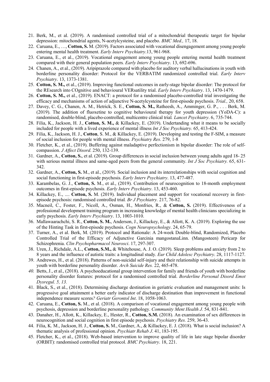- 21. Berk, M., et al. (2019). A randomised controlled trial of a mitochondrial therapeutic target for bipolar depression: mitochondrial agents, N-acetylcysteine, and placebo. *BMC Med.,* 17, 18.
- 22. Caruana, E., …, **Cotton, S.** M. (2019). Factors associated with vocational disengagement among young people entering mental health treatment. *Early Interv Psychiatry*.13, 961-968.
- 23. Caruana, E., et al., (2019). Vocational engagement among young people entering mental health treatment compared with their general population peers*. Early Interv Psychiatry*. 13, 692-696.
- 24. Chanen, A., et al., (2019). Aripiprazole compared with placebo for auditory verbal hallucinations in youth with borderline personality disorder: Protocol for the VERBATIM randomized controlled trial. *Early Interv Psychiatry*. 13, 1373-1381.
- 25. **Cotton, S. M.,** et al., (2019). Improving functional outcomes in early-stage bipolar disorder: The protocol for the REsearch into COgnitive and behavioural VERsatility trial. *Early Interv Psychiatry*. 13, 1470-1479.
- 26. **Cotton, S. M.,** et al., (2019). ENACT: a protocol for a randomised placebo-controlled trial investigating the efficacy and mechanisms of action of adjunctive N-acetylcysteine for first-episode psychosis. *Trial.,* 20, 658.
- 27. Davey, C. G., Chanen, A. M., Hetrick, S. E., **Cotton, S. M.,** Ratheesh, A., Amminger, G. P., . . . Berk, M. (2019). The addition of fluoxetine to cognitive behavioural therapy for youth depression (YoDA-C): a randomised, double-blind, placebo-controlled, multicentre clinical trial*. Lancet Psychiatry*. 6, 735-744.
- 28. Filia, K., Jackson, H. J., **Cotton, S. M.,** & Killackey, E. (2019). Undertanding what it means to be socially included for people with a lived experience of mental illness *Int J Soc Psychiatry.* 65, 413-424.
- 29. Filia, K., Jackson, H. J., **Cotton**, S. M., & Killackey, E. (2019). Developing and testing the F-SIM, a measure of social inclusion for people with mental illness. *Psychiatry Res*. 279, 1-8
- 30. Fletcher, K., et al., (2019). Buffering against maladaptive perfectionism in bipolar disorder: The role of selfcompassion. *J Affect Disord*. 250, 132-139.
- 31. Gardner, A., **Cotton, S.**, et al. (2019). Group differences in social inclusion between young adults aged 18- 25 with serious mental illness and same-aged peers from the general community. *Int J Soc Psychiatry.* 65, 631- 342.
- 32. Gardner, A., **Cotton, S.** M., et al., (2019). Social inclusion and its interrelationships with social cognition and social functioning in first-episode psychosis. *Early Interv Psychiatry*. 13, 477-487.
- 33. Karambelas, G. J., **Cotton, S.** M., et al., (2019). Contribution of neurocognition to 18-month employment outcomes in first-episode psychosis. *Early Interv Psychiatry*. 13, 453-460.
- 34. Killackey, E., .... **Cotton, S.** M. (2019). Individual placement and support for vocational recovery in firstepisode psychosis: randomised controlled trial*. Br J Psychiatry.* 217, 76-82.
- 35. Macneil, C., Foster, F., Nicoll, A., Osman, H., Monfries, R., & **Cotton, S.** (2019). Effectiveness of a professional development training program in increasing knowledge of mental health clinicians specializing in early psychosis. *Early Interv Psychiatry*. 13, 1003-1010.
- 36. Mallawaarachchi, S. R., **Cotton, S. M.**, Anderson, J., Killackey, E., & Allott, K. A. (2019). Exploring the use of the Hinting Task in first-episode psychosis. *Cogn Neuropsychology*. 24, 65-79.
- 37. Turner, A., et al. Berk, M. (2019). Protocol and Rationale: A 24-week Double-blind, Randomized, Placebo Controlled Trial of the Efficacy of Adjunctive Garcinia mangostanaLinn. (Mangosteen) Pericarp for Schizophrenia. *Clin Psychopharmacol Neurosci*. 17, 297-307.
- 38. Uren, J., Richdale, A.L., **Cotton, S.M.,** & Whitehouse, A. J. O. (2019). Sleep problems and anxiety from 2 to 8 years and the influence of autistic traits: a longitudinal study. *Eur Child Adolesc Psychiatry*. 28, 1117-1127.
- 39. Andrewes, H., et al. (2018). Patterns of non-suicidal self-injury and their relationship with suicide attempts in youth with borderline personality disorder. *Arch Suicide Res.* 22, 465-478.
- *40.* Betts, J., et al., (2018). A psychoeducational group intervention for family and friends of youth with borderline personality disorder features: protocol for a randomised controlled trial. *Borderline Personal Disord Emot Dysregul. 5, 13.*
- 41. Black, S., et al., (2018). Determining discharge destination in geriatric evaluation and management units: Is progressive goal attainment a better early indicator of discharge destination than improvement in functional independence measure scores*? Geriatr Gerontol Int*. 18, 1058-1063.
- 42. Caruana, E., **Cotton, S.** M., et al. (2018). A comparison of vocational engagement among young people with psychosis, depression and borderline personality pathology. *Community Ment Health J.* 54, 831-841.
- 43. Danaher, H., Allott, K., Killackey, E., Hester, R., **Cotton, S.M.** (2018). An examination of sex differences in neurocognition and social cognition in first episode psychosis. *Psychiatry Res.* 259, 36-43.
- 44. Filia, K. M., Jackson, H. J., **Cotton, S.** M., Gardner, A., & Killackey, E. J. (2018). What is social inclusion? A thematic analysis of professional opinion. *Psychiatr Rehab J*. 41, 183-195.
- 45. Fletcher, K., et al., (2018). Web-based intervention to improve quality of life in late stage bipolar disorder (ORBIT): randomised controlled trial protocol. *BMC Psychiatry*. 18, 221.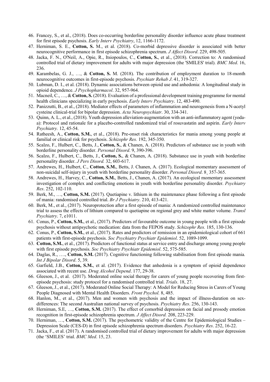- 46. Francey, S., et al., (2018). Does co-occurring borderline personality disorder influence acute phase treatment for first episode psychosis. *Early Interv Psychiatry*, 12, 1166-1172.
- 47. Herniman, S. E., **Cotton, S.** M., et al. (2018). Co-morbid depressive disorder is associated with better neurocognitive performance in first episode schizophrenia spectrum. *J Affect Disord*. 229, 498-505.
- 48. Jacka, F. N., O'Neil, A., Opie, R., Itsiopoulos, C., **Cotton, S.**, et al., (2018). Correction to: A randomised controlled trial of dietary improvement for adults with major depression (the 'SMILES' trial). *BMC Med*. 16, 236.
- 49. Karambelas, G. J., …, & **Cotton, S.** M. (2018). The contribution of employment duration to 18-month neurocognitive outcomes in first-episode psychosis. *Psychiatr Rehab J*. 41, 319-327.
- 50. Lubman, D. I., et al. (2018). Dynamic associations between opioid use and anhedonia: A longitudinal study in opioid dependence. *J Psychopharmacol*. 32, 957-964.
- 51. Macneil, C., …, & **Cotton, S.** (2018). Evaluation of a professional development training programme for mental health clinicians specializing in early psychosis. *Early Interv Psychiatry*. 12, 483-490.
- 52. Panizzutti, B., et al., (2018). Mediator effects of parameters of inflammation and neurogenesis from a N-acetyl cysteine clinical-trial for bipolar depression. *Acta Neuropsychiatr*. 30, 334-341.
- 53. Quinn, A. L., et al., (2018). Youth depression alleviation-augmentation with an anti-inflammatory agent (yodaa): Protocol and rationale for a placebo-controlled randomized trial of rosuvastatin and aspirin. *Early Interv Psychiatry.* 12, 45-54.
- 54. Ratheesh, A., **Cotton, S.M.**, et al., (2018). Pre-onset risk characteristics for mania among young people at familial or clinical risk for psychosis. *Schizophr Res.* 192, 345-350.
- 55. Scalzo, F., Hulbert, C., Betts, J., **Cotton, S.**, & Chanen, A. (2018). Predictors of substance use in youth with borderline personality disorder. *Personal Disord*. 9, 390-396.
- 56. Scalzo, F., Hulbert, C., Betts, J., **Cotton, S.**, & Chanen, A. (2018). Substance use in youth with borderline personality disorder. *J Pers Disord.* 32, 603-617.
- 57. Andrewes, H., Hulbert, C., **Cotton, S.M.**, Betts, J. Chanen, A. (2017). Ecological momentary assessment of non-suicidal self-injury in youth with borderline personality disorder. *Personal Disord*. 8¸ 357-365.
- 58. Andrewes, H., Harvey, C., **Cotton, S.M.**, Betts, J., Chanen, A. (2017). An ecological momentary assessment investigation of complex and conflicting emotions in youth with borderline personality disorder. *Psychiatry Res*. 252, 102-110.
- 59. Berk, M., …, **Cotton, S.M.** (2017). Quetiapine v. lithium in the maintenance phase following a first episode of mania: randomised controlled trial. *Br J Psychiatry*. 210, 413-421.
- 60. Berk, M., et al., (2017). Neuroprotection after a first episode of mania: A randomized controlled maintenance trial to assess the effects of lithium compared to quetiapine on regional grey and white matter volume. *Transl Psychiatry*. 7, e1011.
- 61. Conus, P., **Cotton, S.M.**, et al., (2017). Predictors of favourable outcome in young people with a first episode psychosis without antipsychotic medication: data from the FEPOS study. *Schizophr Res.* 185, 130-136.
- 62. Conus, P., **Cotton, S.M.**, et al., (2017). Rates and predictors of remission in an epidemiological cohort of 661 patients with first-episode psychosis. *Soc Psychiatry Psychiatr Epidemiol*. 52, 1089-1099.
- 63. **Cotton, S.M.**, et al., (2017). Predictors of functional status at service entry and discharge among young people with first episode psychosis. *Soc Psychiatry Psychiatr Epidemiol*. 52, 575-585.
- 64. Daglas, R., …., **Cotton, S.M.** (2017). Cognitive functioning following stabilisation from first episode mania*. Int J Bipolar Disord*. 5, 39.
- 65. Garfield, J.B., **Cotton, S.M.**, et al. (2017). Evidence that anhedonia is a symptom of opioid dependence associated with recent use. *Drug Alcohol Depend*. 177, 29-38.
- 66. Gleeson, J., et al. (2017). Moderated online social therapy for carers of young people recovering from firstepisode psychosis: study protocol for a randomised controlled trial. *Trials*. 18, 27.
- 67. Gleeson, J., et al., (2017). Moderated Online Social Therapy: A Model for Reducing Stress in Carers of Young People Diagnosed with Mental Health Disorders. *Front Psychol.* 8, 485.
- 68. Hanlon, M., et al., (2017). Men and women with psychosis and the impact of illness-duration on sexdifferences: The second Australian national survey of psychosis. *Psychiatry Res*. 256, 130-143.
- 69. Herniman, S.E, …, **Cotton, S.M.** (2017). The effect of comorbid depression on facial and prosody emotion recognition in first-episode schizophrenia spectrum. *J Affect Disord.* 208, 223-229.
- 70. Herniman, …, **Cotton, S.M.** (2017). The psychometric validity of the Centre for Epidemiological Studies Depression Scale (CES-D) in first episode schizophrenia spectrum disorders. *Psychiatry Res*. 252, 16-22.
- 71. Jacka, F., et al. (2017). A randomised controlled trial of dietary improvement for adults with major depression (the 'SMILES' trial. *BMC Med*. 15, 23.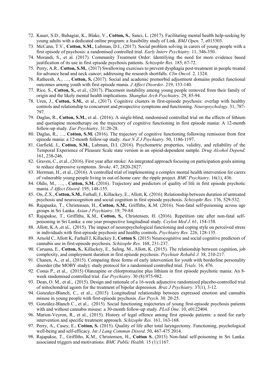- 72. Kauer, S.D., Buhagiar, K., Blake, V., **Cotton, S.**, Sanci, L. (2017). Facilitating mental health help-seeking by young adults with a dedicated online program: a feasibility study of Link. *BMJ Open.* 7, e015303.
- 73. McCann, T.V., **Cotton, S.M.**, Lubman, D.I., (2017). Social problem solving in carers of young people with a first episode of psychosis: a randomised controlled trial. *Early Interv Psychiatry.* 11, 346-350.
- 74. Morandi, S., et al. (2017). Community Treatment Order: Identifying the need for more evidence based justification of its use in first episode psychosis patients. *Schizophr Res.* 185, 67-72.
- 75. Perry, A.R., **Cotton, S.M.**, (2017) Swallowing exercises to prevent dysphagia post-treatment in people treated for advance head and neck cancer; addressing the research shortfalls. *Clin Oncol*. 2, 1324.
- 76. Ratheesh, A., …, **Cotton, S.** (2017). Social and academic premorbid adjustment domains predict functional outcomes among youth with first episode mania. *J Affect Disorder*. 219, 133-140.
- 77. Rice, S., **Cotton, S.**, et al., (2017). Placement instability among young people removed from their family of origin and the likely mental health implications. *Shanghai Arch Psychiatry*. 29, 85-94.
- 78. Uren, J., **Cotton, S.M.**, et al., (2017). Cognitive clusters in first-episode psychosis: overlap with healthy controls and relationship to concurrent and prospective symptoms and functioning. *Neuropsychology*. 31, 787- 797.
- 79. Daglas, R., **Cotton, S.M.**, et al.. (2016). A single-blind, randomised controlled trial on the effects of lithium and quetiapine monotherapy on the trajectory of cognitive functioning in first episode mania: A 12-month follow-up study. *Eur Psychiatry*. 31:20-28.
- 80. Daglas, R., …, **Cotton, S.M.** (2016). The trajectory of cognitive functioning following remission from first episode mania: a 12-month follow-up study. *Aust N Z J Psychiatry.* 50, 1186-1197.
- 81. Garfield, J., **Cotton, S.M.**, Lubman, D.I. (2016). Psychometric properties, validity, and reliability of the Temporal Experience of Pleasure Scale state version in an opioid-dependent sample. *Drug Alcohol Depend.* 161, 238-246.
- 82. Graven, C., et al., (2016). First year after stroke: An integrated approach focusing on participation goals aiming to reduce depressive symptoms. *Stroke*. 47, 2820-2827.
- 83. Herrman, H., et al., (2016). A controlled trial of implementing a complex mental health intervention for carers of vulnerable young people living in out-of-home care: the ripple project. *BMC Psychiatry*. 16(1), 436.
- 84. Oldis, M., …, , **Cotton, S.M.** (2016). Trajectory and predictors of quality of life in first episode psychotic mania. *J Affect Disord*. 195, 148-155.
- 85. On, Z.X., **Cotton, S.M.**, Farhall, J., Killackey, E., Allott, K. (2016). Relationship between duration of untreated psychosis and neurocognition and social cognition in first episode psychosis. *Schizophr Res*. 176, 529-532.
- 86. Rajapaske, T., Christensen, H., **Cotton, S.M.**, Griffiths, K.M. (2016). Non-fatal self-poisoning across age groups in Sri Lanka. *Asian J Psychiatry*. 19, 79-84.
- 87. Rajapakse, T., Griffiths, K.M., **Cotton, S.**, Christensen, H. (2016). Repetition rate after non-fatal selfpoisoning in Sri Lanka: a one year prospective longitudinal study. *Ceylon Med J.* 61, 154-158.
- 88. Allott, K.A.,et al., (2015). The impact of neuropsychological functioning and coping style on perceived stress in individuals with first-episode psychosis and healthy controls. *Psychiatry Res.* 226, 128-135.
- 89. Arnold C, Allott K, Farhall J, Killackey E, **Cotton S**. (2015) Neurocognitive and social cognitive predictors of cannabis use in first-episode psychosis. *Schizophr Res.* 168, 231-237.
- 90. Caruana, E., **Cotton, S.**, Killackey, E., Saling, M., Allott, K. (2015). The relationship between cognition, job complexity, and employment duration in first episode psychosis. *Psychiatr Rehabil J.* 38, 210-217.
- 91. Chanen, A., et al., (2015). Comparing three forms of early intervention for youth with borderline personality disorder (the MOBY study): study protocol for a randomised controlled trial. *Trials.* 16, 476.
- 92. Conus P., et al., (2015) Olanzapine or chlorpromazine plus lithium in first episode psychotic mania: An 8 week randomised controlled trial. *Eur Psychiatry*. 30 (8):975-982.
- 93. Dean, O. M., et al., (2015). Design and rationale of a 16-week adjunctive randomized placebo-controlled trial of mitochondrial agents for the treatment of bipolar depression*. Braz J Psychiatry.* 37(1), 3-12.
- 94. Gonzalez-Blanch, C., et al.,. (2015). Longitudinal relationship between expressed emotion and cannabis misuse in young people with first-episode psychosis*. Eur Psych*. 30. 20-25.
- 95. González-Blanch C., et al., (2015). Social functioning trajectories of young first-episode psychosis patients with and without cannabis misuse: a 30-month follow-up study*. PLoS One*. 10, e0122404.
- 96. Marion-Veyron, R., et al., (2015). History of legal offence among first episode patients: a need for early intervention and specific treatment approach. *Schizophr Res.* 161, 163-168.
- 97. Perry, A., Casey, E., **Cotton, S.** (2015). Quality of life after total laryngectomy. Functioning, psychological well-being and self-efficacy. *Int J Lang Commun Disord*. 50, 467-475 2014.
- 98. Rajapakse, T., Griffiths, K.M., Christensen, H., **Cotton S.** (2015) Non-fatal self-poisoning in Sri Lanka: associated triggers and motivations. *BMC Public Health.* 15 (1):1167.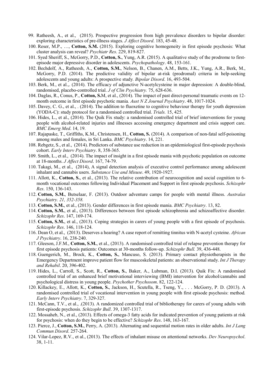- 99. Ratheesh, A., et al., (2015). Prospective progression from high prevalence disorders to bipolar disorder: exploring characteristics of pre-illness stages. *J Affect Disord*. 183, 45-48.
- 100. Reser, M.P., …, **Cotton, S.M.** (2015). Exploring cognitive homogeneity in first episode psychosis: What cluster analysis can reveal? *Psychiatr Res*. 229, 819-827.
- 101. Syed Sheriff, S., McGorry, P.D., **Cotton, S.**, Yung, A.R. (2015). A qualitative study of the prodrome to firstepisode major depressive disorder in adolescents. *Psychopathology*. 48, 153-161.
- 102. Bechdolf, A., Ratheesh, A., **Cotton, S.M.**, Nelson, B., Chanen, A.M., Betts, J.K., Yung, A.R., Berk, M., McGorry, P.D. (2014). The predictive validity of bipolar at-risk (prodromal) criteria in help-seeking adolescents and young adults: A prospective study*. Bipolar Disord*. 16, 493-504.
- 103. Berk, M., et al.,. (2014). The efficacy of adjunctive N-acetylcysteine in major depression: A double-blind, randomised, placebo-controlled trial. *J of Clin Psychiatry.* 75, 628-636.
- 104. Daglas, R., Conus, P., **Cotton, S.**M, et al., (2014). The impact of past direct-personal traumatic events on 12 month outcome in first episode psychotic mania*. Aust N Z Journal Psychiatry*. 48, 1017-1024.
- 105. Davey, C. G., et al., . (2014). The addition to fluoxetine to cognitive behaviour therapy for youth depression (YODA-C): study protocol for a randomised controlled trial. *Trials.* 15, 425.
- 106. Hides, L., et al., (2014). The Quik Fix study: a randomised controlled trial of brief interventions for young people with alcohol-related injuries and illnesses accessing emergency department and crisis support care. *BMC Emerg Med*. 14, 19.
- 107. Rajapaske, T., Griffiths, K.M., Christensen, H., **Cotton, S.** (2014). A comparison of non-fatal self-poisoning among males and females, in Sri Lanka. *BMC Psychiatry*. 14, 221.
- 108. Rebgetz, S., et al., (2014). Predictors of substance use reduction in an epidemiological first-episode psychosis cohort. *Early Interv Psychiatry*. 8, 358-365.
- 109. Smith, L., et al., (2014). The impact of insight in a first episode mania with psychotic population on outcome at 18-months. *J Affect Disord*. 167, 74-79.
- 110. Takagi, M., et al., (2014), A signal detection analysis of executive control performance among adolescent inhalant and cannabis users. *Substance Use and Misuse*. 49, 1920-1927.
- 111. Allott, K., **Cotton, S.**, et al., (2013). The relative contribution of neurocognition and social cognition to 6 month vocational outcomes following Individual Placement and Support in first episode psychosis. *Schizophr Res*. 150, 136-143.
- 112. **Cotton, S.M.**, Butselaar, F. (2013). Outdoor adventure camps for people with mental illness. *Australas Psychiatry. 21, 352-358.*
- 113. **Cotton, S.M.**, et al., (2013). Gender differences in first episode mania. *BMC Psychiatry*. 13, 82.
- 114. **Cotton, S.M.**, et al., (2013). Differences between first episode schizophrenia and schizoaffective disorder. *Schizophr Res*. 147, 169-174.
- 115. **Cotton, S.M.**, et al., (2013). Coping strategies in carers of young people with a first episode of psychosis. *Schizophr Res*. 146, 118-124.
- 116. Dean O, et al., (2013). Deserves a hearing? A case report of remitting tinnitus with N-acetyl cysteine. *African J Psychiatry*. 16, 238-240.
- 117. Gleeson, J.F.M., **Cotton, S.M.**, et al., (2013). A randomised controlled trial of relapse prevention therapy for first episode psychosis patients: Outcomes at 30-months follow-up. *Schizophr Bull.* 39, 436-448.
- 118. Guengerich, M., Brock, K., **Cotton, S.**, Mancuso, S. (2013). Primary contact physiotherapists in the Emergency Department improve patient flow for muscoskeletal patients: an observational study. *Int J Therapy and Rehabil*. 20, 396-402.
- 119. Hides, L., Carroll, S., Scott, R., **Cotton, S.**, Baker, A., Lubman, D.I. (2013). Quik Fix: A randomised controlled trial of an enhanced brief motivational interviewing (BMI) intervention for alcohol/cannabis and psychological distress in young people. *Psychother Psychosom*. 82, 122-124.
- 120. Killackey, E., Allott, K., **Cotton, S.**, Jackson, H., Scutella, R., Tseng, Y., . . . McGorry, P. D. (2013). A randomised controlled trial of vocational intervention in young people with first episode psychosis: method*. Early Interv Psychiatry*. 7, 329-327.
- 121. McCann, T.V., et al., .(2013). A randomized controlled trial of bibliotherapy for carers of young adults with first-episode psychosis. *Schizophr Bull*. 39, 1307-1317.
- 122. Mossaheb, N., et al., (2013). Effects of omega-3 fatty acids for indicated prevention of young patients at risk for psychosis: when do they begin to be effective? *Schizophr Res*. 148, 163-167.
- 123. Pierce, J., **Cotton, S.M.**, Perry, A. (2013). Alternating and sequential motion rates in older adults. *Int J Lang Commun Disord*. 257-264.
- 124. Vilar-Lopez, R.V., et al., (2013). The effects of inhalant misuse on attentional networks. *Dev Neuropsychol*. 38, 1-11.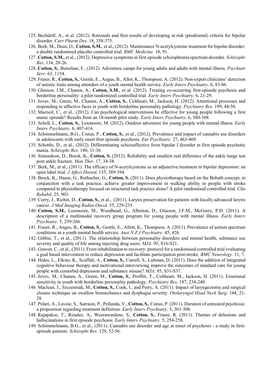- 125. Bechdolf, A., et al. (2012). Rationale and first results of developing at-risk (prodromal) criteria for bipolar disorder. *Curr Pharm Des.* 18, 358-375.
- 126. Berk, M., Dean, O., **Cotton, S.M.**, et al., (2012). Maintenance N-acetylcysteine treatment for bipolar disorder: a double randomised placebo controlled trial*. BMC Medicine*. 10, 91.
- 127. **Cotton, S.M.**, et al., (2012). Depressive symptoms in first episode schizophrenia spectrum disorder. *Schizophr Res.* 134, 20-26.
- 128. **Cotton, S.**, Butselaar, F., (2012). Adventure camps for young adults and adults with mental illness. *Psychiatr Serv.* 63, 1154.
- 129. Fraser, R., **Cotton, S.**, Gentle, E., Angus, B., Allot, K., Thompson, A. (2012). Non-expert clinicians' detection of autistic traits among attenders of a youth mental health service. *Early Interv Psychiatry*. 6, 83-86.
- 130. Gleeson, J.M., Chanen, A., **Cotton, S.M.**, et al. (2012). Treating co-occurring first-episode psychosis and borderline personality: a pilot randomized controlled trial. *Early Interv Psychiatry*. 6, 21-29.
- 131. Jovev, M., Green, M., Chanen, A., **Cotton, S.**, Coltheart, M., Jackson, H. (2012). Attentional processes and responding to affective faces in youth with borderline personality pathology. *Psychiatry Res*. 199, 44-50.
- 132. Macneil, C., et al., (2012). Can psychological interventions be effective for young people following a first manic episode? Results from an 18-month pilot study. *Early Interv Psychiatry.* 6, 380-388.
- 133. Schell, L., **Cotton, S.**, Luxmoore, M. (2012). Outdoor adventure for young people with mental illness. *Early Interv Psychiatry*. 6, 407-414.
- 134. Schimmelmann, B.G., Conus, P., **Cotton, S.**, et al., (2012). Prevalence and impact of cannabis use disorders in adolescents with early onset first episode psychosis. *Eur Psychiatry.* 27, 463-469.
- 135. Schottle, D., et al., (2012). Differentiating schizoaffective from bipolar I disorder in first episode psychotic mania. *Schizophr Res*. 140, 31-36.
- 136. Simondson, D., Brock, K., **Cotton, S.** (2012). Reliability and smallest real difference of the ankle lunge test post ankle fracture. *Man Ther.* 17, 34-38.
- 137. Berk, M., et al., (2011). The efficacy of N-acetylcysteine as an adjunctive treatment in bipolar depression: an open label trial. *J Affect Disord,* 135, 389-394.
- 138. Brock, K., Haase, G., Rothacher, G., **Cotton, S.** (2011). Does physiotherapy based on the Bobath concept, in conjunction with a task practice, achieve greater improvement in walking ability in people with stroke compared to physiotherapy focused on structured task practice alone? A pilot randomised controlled trial. *Clin Rehabil*. 25, 903.
- 139. Corry, J., Richin, D., **Cotton, S.**, et al., (2011). Larynx preservation for patients with locally advanced larynx cancer. *J Med Imaging Radiat Oncol*. 55, 229-235.
- 140. **Cotton, S.M.**, Luxmoore, M., Woodhead, G., Albiston, D., Gleeson, J.F.M., McGorry, P.D. (2011). A description of a multimodal recovery group program for young people with mental illness. *Early Interv Psychiatry*. 5, 259-266.
- 141. Fraser, R., Angus, B., **Cotton, S.**, Gentle, E., Allott, K., Thompson, A. (2011). Prevalence of autism spectrum conditions in a youth mental health service. *Aust N Z J Psychiatry.* 45, 426.
- 142. Gibbie, T., et al., (2011). The relationship between personality disorders and mental health, substance use severity and quality of life among injecting drug users. *MJA*. 95, S16-S21.
- 143. Graven, C., et al., (2011). From rehabilitation to recovery: protocol for a randomised controlled trial evaluating a goal based intervention to reduce depression and facilitate participation post-stroke. *BMC Neurology.* 11, 7.
- 144. Hides, L., Elkins, K., Scaffidi, A., **Cotton, S.**, Carroll, S., Lubman, D. (2011). Does the addition of integrated cognitive behaviour therapy and motivational interviewing improve the outcomes of standard care for young people with comorbid depression and substance misuse? *MJA.* 95, S31-S37.
- 145. Jovev, M., Chanen, A., Green, M., **Cotton, S.**, Proffitt, T., Coltheart, M., Jackson, H. (2011). Emotional sensitivity in youth with borderline personality pathology. *Psychiatry Res*. 187, 234-240.
- 146. Maclean, J., Szczesniak, M., **Cotton, S.**, Cook, I., and Perry, A. (2011). Impact of laryngectomy and surgical closure technique on swallow biomechanics and dysphagia severity. *Otolaryngol Head Neck Surg*. 144, 21- 28.
- 147. Polari, A., Lavoie, S., Sarrasin, P., Pellanda, V., **Cotton, S.**, Conus, P. (2011). Duration of untreated psychosis: a proposition regarding treatment definition. *Early Interv Psychiatry*. 5, 301-308.
- 148. Rajapakse, T., Rosales, A., Weerawardene, S., **Cotton, S.**, Fraser, R. (2011). Themes of delusions and hallucinations in first episode psychosis. *Early Interv Psychiatry.* 5, 254-258.
- 149. Schimmelmann, B.G., et al., (2011). Cannabis use disorder and age at onset of psychosis a study in firstepisode patients. *Schizophr Res.* 129, 52-56.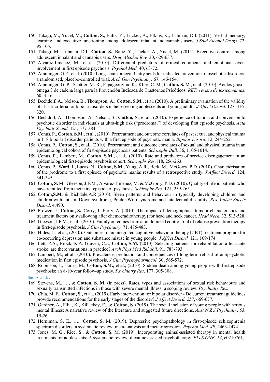- 150. Takagi, M., Yucel, M., **Cotton, S.**, Baliz, Y., Tucker, A., Elkins, K., Lubman, D.I. (2011). Verbal memory, learning, and executive functioning among adolescent inhalant and cannabis users. *J Stud Alcohol Drugs*. 72, 95-105.
- 151. Takagi, M., Lubman, D.I., **Cotton, S.**, Baliz, Y., Tucker, A., Yucel, M. (2011). Executive control among adolescent inhalant and cannabis users. *Drug Alcohol Rev.* 30, 629-637.
- 152. Alvarez-Jimenez, M., et al. (2010). Differential predictors of critical comments and emotional overinvolvement in first episode psychosis. *Psychol Med.* 40, 63-72.
- 153. Amminger, G.P., et al. (2010). Long-chain omega-3 fatty acids for indicated prevention of psychotic disorders: a randomised, placebo-controlled trial. *Arch Gen Psychiatry.* 67, 146-154.
- 154. Amminger, G. P., Schäfer, M. R., Papageorgiou, K., Klier, C. M., **Cotton, S.** M., et al. (2010). Ácidos grasos omega 3 de cadena larga para la Prevención Indicada de Trastornos Psicóticos. *RET: revista de toxicomanías*, 60, 3-16.
- 155. Bechdolf, A., Nelson, B., Thompson, A., **Cotton, S.M.,** et al. (2010). A preliminary evaluation of the validity of at-risk criteria for bipolar disorders in help-seeking adolescents and young adults. *J Affect Disord.* 127, 316- 320.
- 156. Bechdolf, A., Thompson, A., Nelson, B., **Cotton, S.**, et al., (2010). Experience of trauma and conversion to psychotic disorder in individuals at ultra-high risk ("prodromal") of developing first episode psychosis. *Acta Psychiatr Scand,* 121, 377-384.
- 157. Conus, P., **Cotton, S.M.**, et al., (2010). Pretreatment and outcome correlates of past sexual and physical trauma in 118 bipolar I disorder patients with a first episode of psychotic mania. *Bipolar Disord*. 12, 244-252.
- 158. Conus, P., **Cotton, S.**, et al., (2010). Pretreatment and outcome correlates of sexual and physical trauma in an epidemiological cohort of first-episode psychosis patients. *Schizophr Bull.* 36, 1105-1014.
- 159. Conus, P., Lambert, M., **Cotton, S.M.**, et al., (2010). Rate and predictors of service disengagement in an epidemiological first-episode psychosis cohort. *Schizophr Res.*118, 256-263.
- 160. Conus, P., Ward, J., Lucas, N., **Cotton, S.M.**, Yung, A.R., Berk, M., McGorry, P.D. (2010). Characterisation of the prodrome to a first episode of psychotic mania: results of a retrospective study. *J Affect Disord.* 124, 341-345.
- 161. **Cotton, S.** M., Gleeson, J.F.M., Alvarez-Jimenez, M. & McGorry, P.D. (2010). Quality of life in patients who have remitted from their first episode of psychosis. *Schizophr Res.* 121, 259-265.
- 162. **Cotton,S.M.** & Richdale,A.R.(2010). Sleep patterns and behaviour in typically developing children and children with autism, Down syndrome, Prader-Willi syndrome and intellectual disability. *Res Autism Spectr Disord*. 4,490.
- 163. Frowen, J., **Cotton, S.**, Corry, J., Perry, A. (2010). The impact of demographics, tumour characteristics and treatment factors on swallowing after chemo(radiotherapy) for head and neck cancer. *Head Neck*. 32. 513-528.
- 164. Gleeson, J.F.M., et al. (2010). Family outcomes from a randomized control trial of relapse prevention therapy in first-episode psychosis. *J Clin Psychiatry.* 71, 475-483.
- 165. Hides, L., et al., (2010). Outcomes of an integrated cognitive behaviour therapy (CBT) treatment program for co-occurring depression and substance misuse in young people. *J Affect Disord.* 121, 169-174.
- 166. Ilett, P.A., Brock, K.A. Graven, C.J., **Cotton, S.M.** (2010). Selecting patients for rehabilitation after acute stroke: are there variations in practice? *Arch Phys Med Rehabil.* 91, 788-793.
- 167. Lambert, M., et al., (2010). Prevalence, predictors, and consequences of long-term refusal of antipsychotic medication in first episode psychosis. *J Clin Psychopharmacol*. 30, 565-572.
- 168. Robinson, J., Harris, M., **Cotton, S.M.**, et al., (2010). Sudden death among young people with first episode psychosis: an 8-10-year follow-up study. *Psychiatry Res*. 177, 305-308.
- Review articles
- 169. Stevens, M., …, & **Cotton, S. M.** (in press). Rates, types and associations of sexual risk behaviours and sexually transmitted infections in those with severe mental illness: a scoping review. *Psychiatry Res*.
- 170. Chia, M. F., **Cotton, S.,** et al., (2019). Early intervention for bipolar disorder Do current treatment guidelines provide recommendations for the early stages of the disorder? *J Affect Disord. 257*, 669-677.
- 171. Gardner, A., Filia, K., Killackey, E., & **Cotton, S.** (2019). The social inclusion of young people with serious mental illness: A narrative review of the literature and suggested future directions. *Aust N Z J Psychiatry. 53*, 15-26.
- 172. Herniman, S. E., …., **Cotton, S**. M. (2019). Depressive psychopathology in first-episode schizophrenia spectrum disorders: a systematic review, meta-analysis and meta-regression. *Psychol Med. 49*, 2463-2474.
- 173. Jones, M. G., Rice, S., & **Cotton, S.** M. (2019). Incorporating animal-assisted therapy in mental health treatments for adolescents: A systematic review of canine assisted psychotherapy. *PLoS ONE. 14*, e0210761,